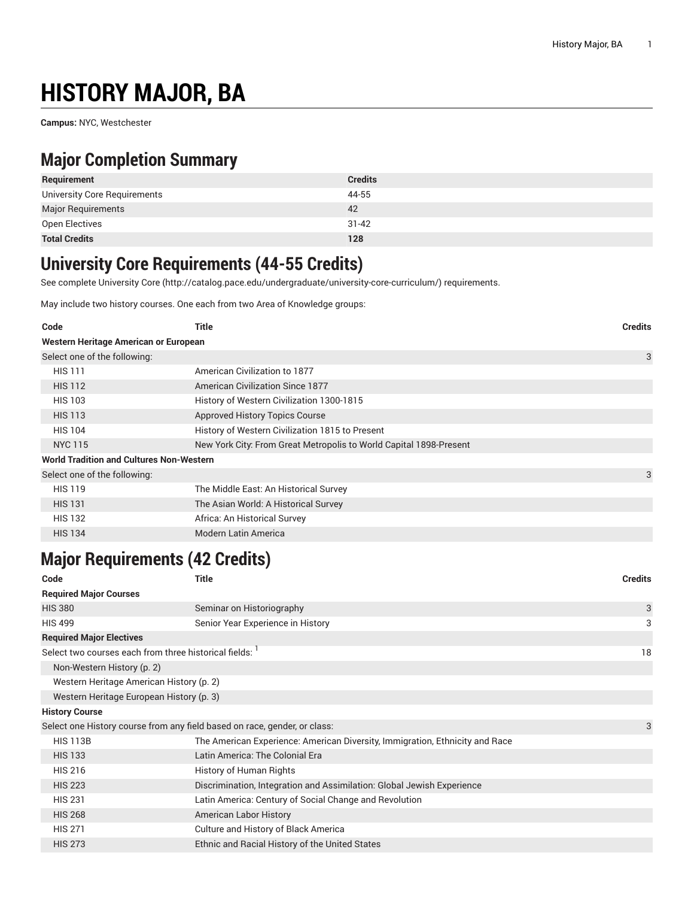# **HISTORY MAJOR, BA**

**Campus:** NYC, Westchester

## **Major Completion Summary**

| Requirement                  | <b>Credits</b> |
|------------------------------|----------------|
| University Core Requirements | 44-55          |
| <b>Major Requirements</b>    | 42             |
| Open Electives               | $31 - 42$      |
| <b>Total Credits</b>         | 128            |

### **University Core Requirements (44-55 Credits)**

See complete [University](http://catalog.pace.edu/undergraduate/university-core-curriculum/) Core (<http://catalog.pace.edu/undergraduate/university-core-curriculum/>) requirements.

May include two history courses. One each from two Area of Knowledge groups:

| Code                                            | Title                                                              | <b>Credits</b> |
|-------------------------------------------------|--------------------------------------------------------------------|----------------|
| Western Heritage American or European           |                                                                    |                |
| Select one of the following:                    |                                                                    | 3              |
| <b>HIS 111</b>                                  | American Civilization to 1877                                      |                |
| <b>HIS 112</b>                                  | <b>American Civilization Since 1877</b>                            |                |
| <b>HIS 103</b>                                  | History of Western Civilization 1300-1815                          |                |
| <b>HIS 113</b>                                  | <b>Approved History Topics Course</b>                              |                |
| <b>HIS 104</b>                                  | History of Western Civilization 1815 to Present                    |                |
| <b>NYC 115</b>                                  | New York City: From Great Metropolis to World Capital 1898-Present |                |
| <b>World Tradition and Cultures Non-Western</b> |                                                                    |                |
| Select one of the following:                    |                                                                    | 3              |
| <b>HIS 119</b>                                  | The Middle East: An Historical Survey                              |                |
| <b>HIS 131</b>                                  | The Asian World: A Historical Survey                               |                |
| <b>HIS 132</b>                                  | Africa: An Historical Survey                                       |                |
| <b>HIS 134</b>                                  | <b>Modern Latin America</b>                                        |                |

## **Major Requirements (42 Credits)**

| Title                                                                        | <b>Credits</b> |
|------------------------------------------------------------------------------|----------------|
|                                                                              |                |
| Seminar on Historiography                                                    | 3              |
| Senior Year Experience in History                                            | 3              |
|                                                                              |                |
| Select two courses each from three historical fields: 1                      | 18             |
|                                                                              |                |
| Western Heritage American History (p. 2)                                     |                |
| Western Heritage European History (p. 3)                                     |                |
|                                                                              |                |
| Select one History course from any field based on race, gender, or class:    | 3              |
| The American Experience: American Diversity, Immigration, Ethnicity and Race |                |
| Latin America: The Colonial Era                                              |                |
| History of Human Rights                                                      |                |
| Discrimination, Integration and Assimilation: Global Jewish Experience       |                |
| Latin America: Century of Social Change and Revolution                       |                |
| <b>American Labor History</b>                                                |                |
| Culture and History of Black America                                         |                |
| Ethnic and Racial History of the United States                               |                |
|                                                                              |                |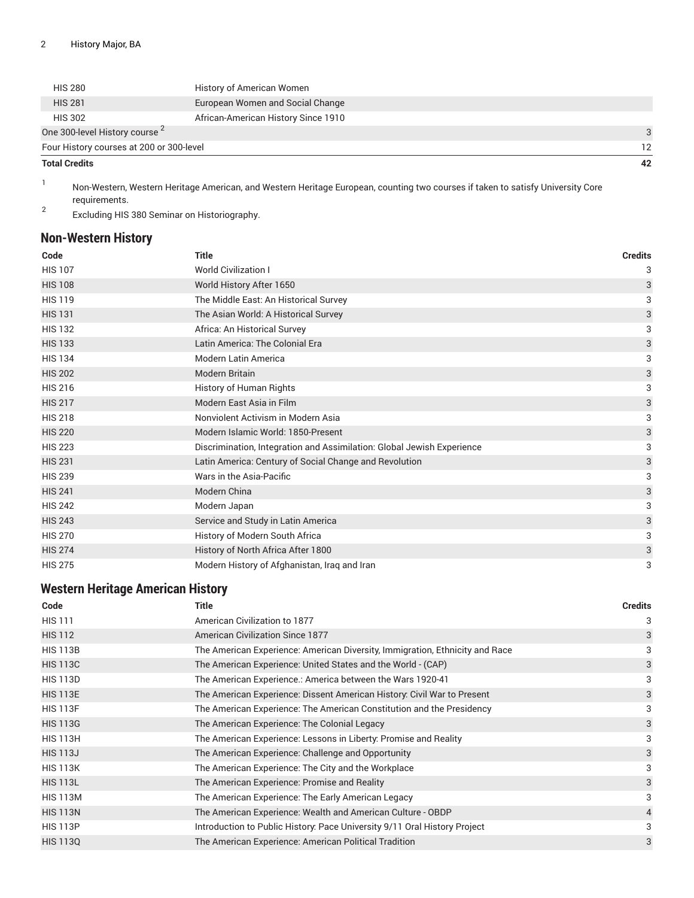| <b>Total Credits</b>                     |                                     | 42                |
|------------------------------------------|-------------------------------------|-------------------|
| Four History courses at 200 or 300-level |                                     | $12 \overline{ }$ |
| One 300-level History course 2           |                                     | $\mathcal{R}$     |
| <b>HIS 302</b>                           | African-American History Since 1910 |                   |
| <b>HIS 281</b>                           | European Women and Social Change    |                   |
| <b>HIS 280</b>                           | History of American Women           |                   |

1 Non-Western, Western Heritage American, and Western Heritage European, counting two courses if taken to satisfy University Core requirements.

2 Excluding HIS 380 Seminar on Historiography.

### <span id="page-1-0"></span>**Non-Western History**

| Code           | <b>Title</b>                                                           | <b>Credits</b> |
|----------------|------------------------------------------------------------------------|----------------|
| <b>HIS 107</b> | <b>World Civilization I</b>                                            | 3              |
| <b>HIS 108</b> | World History After 1650                                               | 3              |
| <b>HIS 119</b> | The Middle East: An Historical Survey                                  | 3              |
| <b>HIS 131</b> | The Asian World: A Historical Survey                                   | 3              |
| <b>HIS 132</b> | Africa: An Historical Survey                                           | 3              |
| <b>HIS 133</b> | Latin America: The Colonial Era                                        | 3              |
| <b>HIS 134</b> | <b>Modern Latin America</b>                                            | 3              |
| <b>HIS 202</b> | <b>Modern Britain</b>                                                  | 3              |
| <b>HIS 216</b> | History of Human Rights                                                | 3              |
| <b>HIS 217</b> | Modern East Asia in Film                                               | 3              |
| <b>HIS 218</b> | Nonviolent Activism in Modern Asia                                     | 3              |
| <b>HIS 220</b> | Modern Islamic World: 1850-Present                                     | 3              |
| <b>HIS 223</b> | Discrimination, Integration and Assimilation: Global Jewish Experience | 3              |
| <b>HIS 231</b> | Latin America: Century of Social Change and Revolution                 | 3              |
| <b>HIS 239</b> | Wars in the Asia-Pacific                                               | 3              |
| <b>HIS 241</b> | Modern China                                                           | 3              |
| <b>HIS 242</b> | Modern Japan                                                           | 3              |
| <b>HIS 243</b> | Service and Study in Latin America                                     | 3              |
| <b>HIS 270</b> | History of Modern South Africa                                         | 3              |
| <b>HIS 274</b> | History of North Africa After 1800                                     | 3              |
| <b>HIS 275</b> | Modern History of Afghanistan, Iraq and Iran                           | 3              |

### <span id="page-1-1"></span>**Western Heritage American History**

| Code            | <b>Title</b>                                                                 | <b>Credits</b> |
|-----------------|------------------------------------------------------------------------------|----------------|
| <b>HIS 111</b>  | American Civilization to 1877                                                | 3              |
| <b>HIS 112</b>  | <b>American Civilization Since 1877</b>                                      | 3              |
| <b>HIS 113B</b> | The American Experience: American Diversity, Immigration, Ethnicity and Race | 3              |
| <b>HIS 113C</b> | The American Experience: United States and the World - (CAP)                 | 3              |
| <b>HIS 113D</b> | The American Experience.: America between the Wars 1920-41                   | 3              |
| <b>HIS 113E</b> | The American Experience: Dissent American History: Civil War to Present      | 3              |
| <b>HIS 113F</b> | The American Experience: The American Constitution and the Presidency        | 3              |
| <b>HIS 113G</b> | The American Experience: The Colonial Legacy                                 | 3              |
| <b>HIS 113H</b> | The American Experience: Lessons in Liberty: Promise and Reality             | 3              |
| <b>HIS 113J</b> | The American Experience: Challenge and Opportunity                           | 3              |
| <b>HIS 113K</b> | The American Experience: The City and the Workplace                          | 3              |
| <b>HIS 113L</b> | The American Experience: Promise and Reality                                 | 3              |
| <b>HIS 113M</b> | The American Experience: The Early American Legacy                           | 3              |
| <b>HIS 113N</b> | The American Experience: Wealth and American Culture - OBDP                  | $\overline{4}$ |
| <b>HIS 113P</b> | Introduction to Public History: Pace University 9/11 Oral History Project    | 3              |
| <b>HIS 1130</b> | The American Experience: American Political Tradition                        | 3              |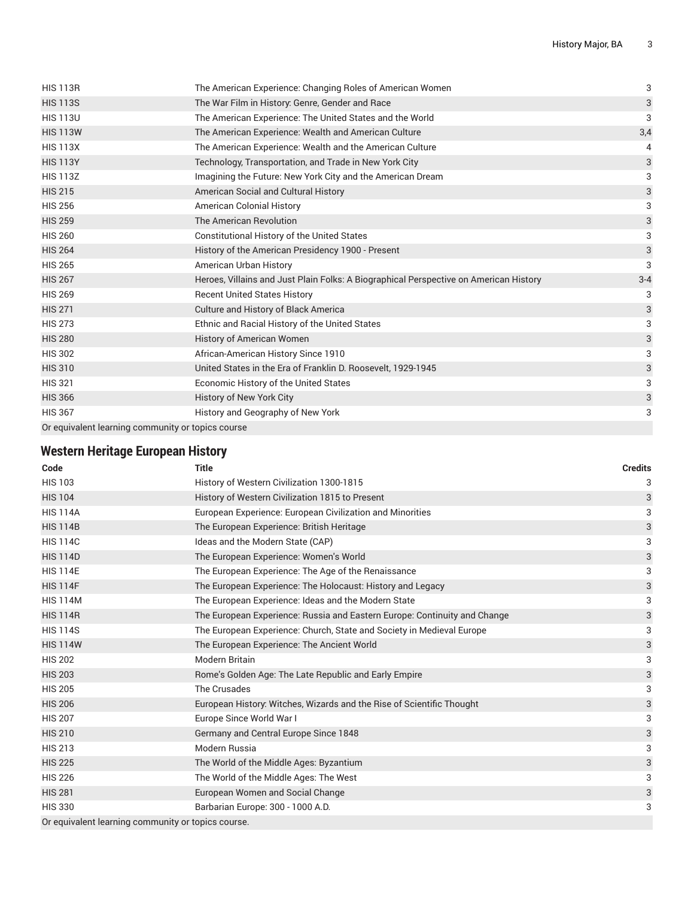| <b>HIS 113R</b>                                   | The American Experience: Changing Roles of American Women                             | 3                         |
|---------------------------------------------------|---------------------------------------------------------------------------------------|---------------------------|
| <b>HIS 113S</b>                                   | The War Film in History: Genre, Gender and Race                                       | 3                         |
| <b>HIS 113U</b>                                   | The American Experience: The United States and the World                              | 3                         |
| <b>HIS 113W</b>                                   | The American Experience: Wealth and American Culture                                  | 3,4                       |
| <b>HIS 113X</b>                                   | The American Experience: Wealth and the American Culture                              | 4                         |
| <b>HIS 113Y</b>                                   | Technology, Transportation, and Trade in New York City                                | 3                         |
| <b>HIS 113Z</b>                                   | Imagining the Future: New York City and the American Dream                            | 3                         |
| <b>HIS 215</b>                                    | American Social and Cultural History                                                  | 3                         |
| <b>HIS 256</b>                                    | <b>American Colonial History</b>                                                      | 3                         |
| <b>HIS 259</b>                                    | The American Revolution                                                               | $\ensuremath{\mathsf{3}}$ |
| <b>HIS 260</b>                                    | Constitutional History of the United States                                           | 3                         |
| <b>HIS 264</b>                                    | History of the American Presidency 1900 - Present                                     | 3                         |
| <b>HIS 265</b>                                    | American Urban History                                                                | 3                         |
| <b>HIS 267</b>                                    | Heroes, Villains and Just Plain Folks: A Biographical Perspective on American History | $3 - 4$                   |
| <b>HIS 269</b>                                    | <b>Recent United States History</b>                                                   | 3                         |
| <b>HIS 271</b>                                    | <b>Culture and History of Black America</b>                                           | 3                         |
| <b>HIS 273</b>                                    | Ethnic and Racial History of the United States                                        | 3                         |
| <b>HIS 280</b>                                    | History of American Women                                                             | 3                         |
| <b>HIS 302</b>                                    | African-American History Since 1910                                                   | 3                         |
| <b>HIS 310</b>                                    | United States in the Era of Franklin D. Roosevelt, 1929-1945                          | 3                         |
| <b>HIS 321</b>                                    | Economic History of the United States                                                 | 3                         |
| <b>HIS 366</b>                                    | History of New York City                                                              | 3                         |
| <b>HIS 367</b>                                    | History and Geography of New York                                                     | 3                         |
| Or equivalent learning community or topics course |                                                                                       |                           |

### <span id="page-2-0"></span>**Western Heritage European History**

| Code                                               | <b>Title</b>                                                              | <b>Credits</b>            |
|----------------------------------------------------|---------------------------------------------------------------------------|---------------------------|
| <b>HIS 103</b>                                     | History of Western Civilization 1300-1815                                 | 3                         |
| <b>HIS 104</b>                                     | History of Western Civilization 1815 to Present                           | 3                         |
| <b>HIS 114A</b>                                    | European Experience: European Civilization and Minorities                 | 3                         |
| <b>HIS 114B</b>                                    | The European Experience: British Heritage                                 | 3                         |
| <b>HIS 114C</b>                                    | Ideas and the Modern State (CAP)                                          | 3                         |
| <b>HIS 114D</b>                                    | The European Experience: Women's World                                    | $\ensuremath{\mathsf{3}}$ |
| <b>HIS 114E</b>                                    | The European Experience: The Age of the Renaissance                       | 3                         |
| <b>HIS 114F</b>                                    | The European Experience: The Holocaust: History and Legacy                | $\ensuremath{\mathsf{3}}$ |
| <b>HIS 114M</b>                                    | The European Experience: Ideas and the Modern State                       | 3                         |
| <b>HIS 114R</b>                                    | The European Experience: Russia and Eastern Europe: Continuity and Change | $\ensuremath{\mathsf{3}}$ |
| <b>HIS 114S</b>                                    | The European Experience: Church, State and Society in Medieval Europe     | 3                         |
| <b>HIS 114W</b>                                    | The European Experience: The Ancient World                                | $\mathsf{3}$              |
| <b>HIS 202</b>                                     | Modern Britain                                                            | 3                         |
| <b>HIS 203</b>                                     | Rome's Golden Age: The Late Republic and Early Empire                     | $\mathsf{3}$              |
| <b>HIS 205</b>                                     | The Crusades                                                              | 3                         |
| <b>HIS 206</b>                                     | European History: Witches, Wizards and the Rise of Scientific Thought     | 3                         |
| <b>HIS 207</b>                                     | Europe Since World War I                                                  | 3                         |
| <b>HIS 210</b>                                     | Germany and Central Europe Since 1848                                     | $\mathsf{3}$              |
| <b>HIS 213</b>                                     | Modern Russia                                                             | 3                         |
| <b>HIS 225</b>                                     | The World of the Middle Ages: Byzantium                                   | $\ensuremath{\mathsf{3}}$ |
| <b>HIS 226</b>                                     | The World of the Middle Ages: The West                                    | 3                         |
| <b>HIS 281</b>                                     | European Women and Social Change                                          | $\ensuremath{\mathsf{3}}$ |
| <b>HIS 330</b>                                     | Barbarian Europe: 300 - 1000 A.D.                                         | 3                         |
| Or equivalent learning community or topics course. |                                                                           |                           |